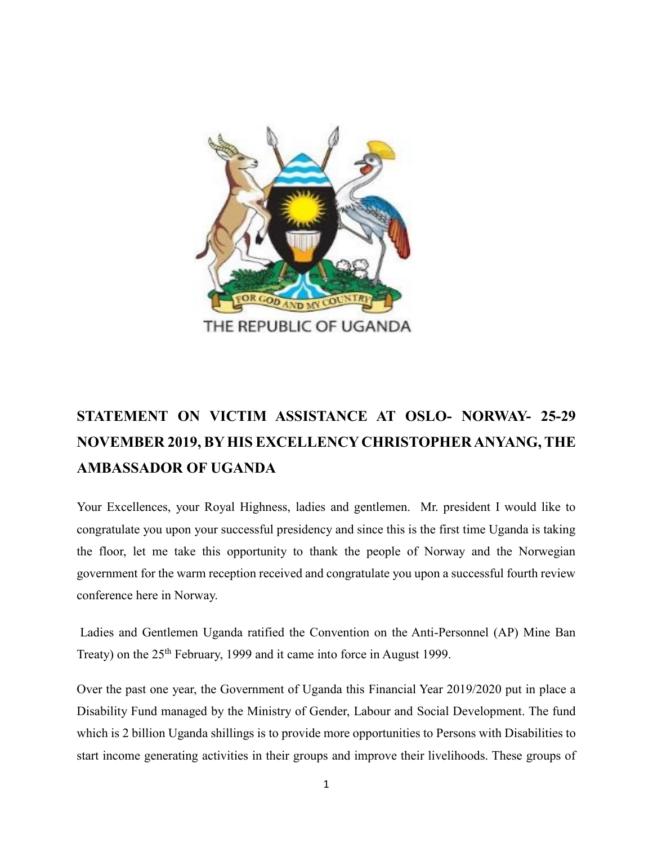

## **STATEMENT ON VICTIM ASSISTANCE AT OSLO- NORWAY- 25-29 NOVEMBER 2019, BY HIS EXCELLENCY CHRISTOPHER ANYANG, THE AMBASSADOR OF UGANDA**

Your Excellences, your Royal Highness, ladies and gentlemen. Mr. president I would like to congratulate you upon your successful presidency and since this is the first time Uganda is taking the floor, let me take this opportunity to thank the people of Norway and the Norwegian government for the warm reception received and congratulate you upon a successful fourth review conference here in Norway.

Ladies and Gentlemen Uganda ratified the Convention on the Anti-Personnel (AP) Mine Ban Treaty) on the 25<sup>th</sup> February, 1999 and it came into force in August 1999.

Over the past one year, the Government of Uganda this Financial Year 2019/2020 put in place a Disability Fund managed by the Ministry of Gender, Labour and Social Development. The fund which is 2 billion Uganda shillings is to provide more opportunities to Persons with Disabilities to start income generating activities in their groups and improve their livelihoods. These groups of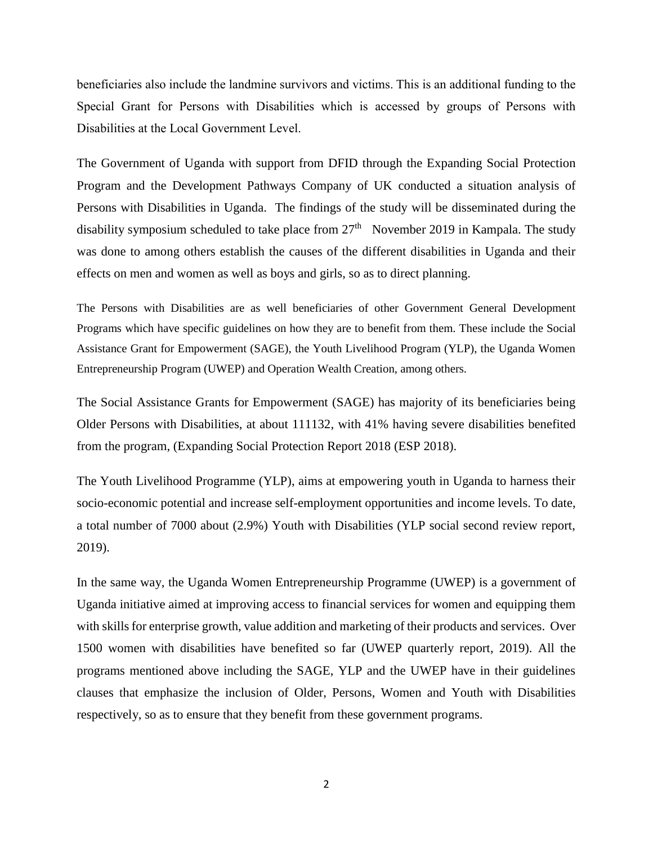beneficiaries also include the landmine survivors and victims. This is an additional funding to the Special Grant for Persons with Disabilities which is accessed by groups of Persons with Disabilities at the Local Government Level.

The Government of Uganda with support from DFID through the Expanding Social Protection Program and the Development Pathways Company of UK conducted a situation analysis of Persons with Disabilities in Uganda. The findings of the study will be disseminated during the disability symposium scheduled to take place from  $27<sup>th</sup>$  November 2019 in Kampala. The study was done to among others establish the causes of the different disabilities in Uganda and their effects on men and women as well as boys and girls, so as to direct planning.

The Persons with Disabilities are as well beneficiaries of other Government General Development Programs which have specific guidelines on how they are to benefit from them. These include the Social Assistance Grant for Empowerment (SAGE), the Youth Livelihood Program (YLP), the Uganda Women Entrepreneurship Program (UWEP) and Operation Wealth Creation, among others.

The Social Assistance Grants for Empowerment (SAGE) has majority of its beneficiaries being Older Persons with Disabilities, at about 111132, with 41% having severe disabilities benefited from the program, (Expanding Social Protection Report 2018 (ESP 2018).

The Youth Livelihood Programme (YLP), aims at empowering youth in Uganda to harness their socio-economic potential and increase self-employment opportunities and income levels. To date, a total number of 7000 about (2.9%) Youth with Disabilities (YLP social second review report, 2019).

In the same way, the Uganda Women Entrepreneurship Programme (UWEP) is a government of Uganda initiative aimed at improving access to financial services for women and equipping them with skills for enterprise growth, value addition and marketing of their products and services. Over 1500 women with disabilities have benefited so far (UWEP quarterly report, 2019). All the programs mentioned above including the SAGE, YLP and the UWEP have in their guidelines clauses that emphasize the inclusion of Older, Persons, Women and Youth with Disabilities respectively, so as to ensure that they benefit from these government programs.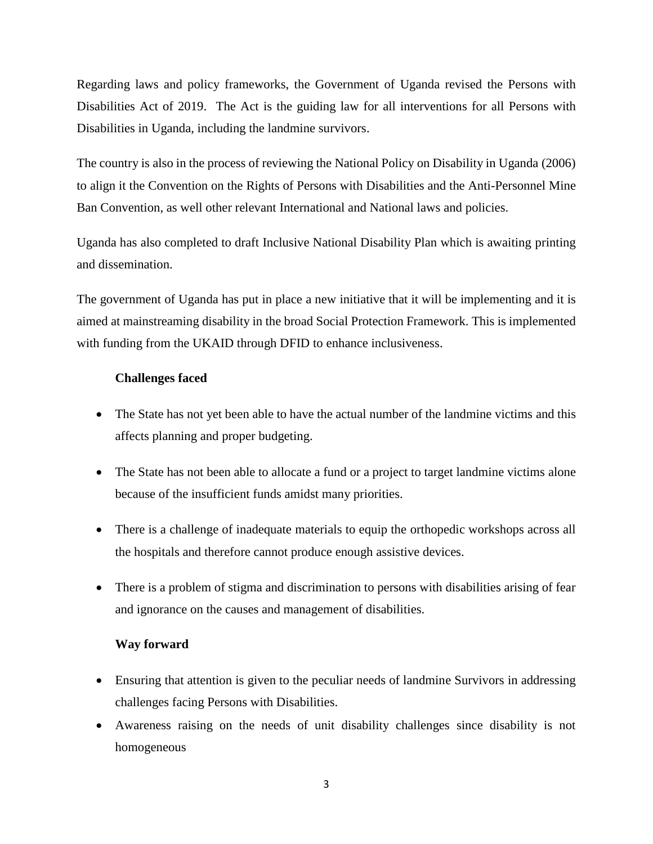Regarding laws and policy frameworks, the Government of Uganda revised the Persons with Disabilities Act of 2019. The Act is the guiding law for all interventions for all Persons with Disabilities in Uganda, including the landmine survivors.

The country is also in the process of reviewing the National Policy on Disability in Uganda (2006) to align it the Convention on the Rights of Persons with Disabilities and the Anti-Personnel Mine Ban Convention, as well other relevant International and National laws and policies.

Uganda has also completed to draft Inclusive National Disability Plan which is awaiting printing and dissemination.

The government of Uganda has put in place a new initiative that it will be implementing and it is aimed at mainstreaming disability in the broad Social Protection Framework. This is implemented with funding from the UKAID through DFID to enhance inclusiveness.

## **Challenges faced**

- The State has not yet been able to have the actual number of the landmine victims and this affects planning and proper budgeting.
- The State has not been able to allocate a fund or a project to target landmine victims alone because of the insufficient funds amidst many priorities.
- There is a challenge of inadequate materials to equip the orthopedic workshops across all the hospitals and therefore cannot produce enough assistive devices.
- There is a problem of stigma and discrimination to persons with disabilities arising of fear and ignorance on the causes and management of disabilities.

## **Way forward**

- Ensuring that attention is given to the peculiar needs of landmine Survivors in addressing challenges facing Persons with Disabilities.
- Awareness raising on the needs of unit disability challenges since disability is not homogeneous